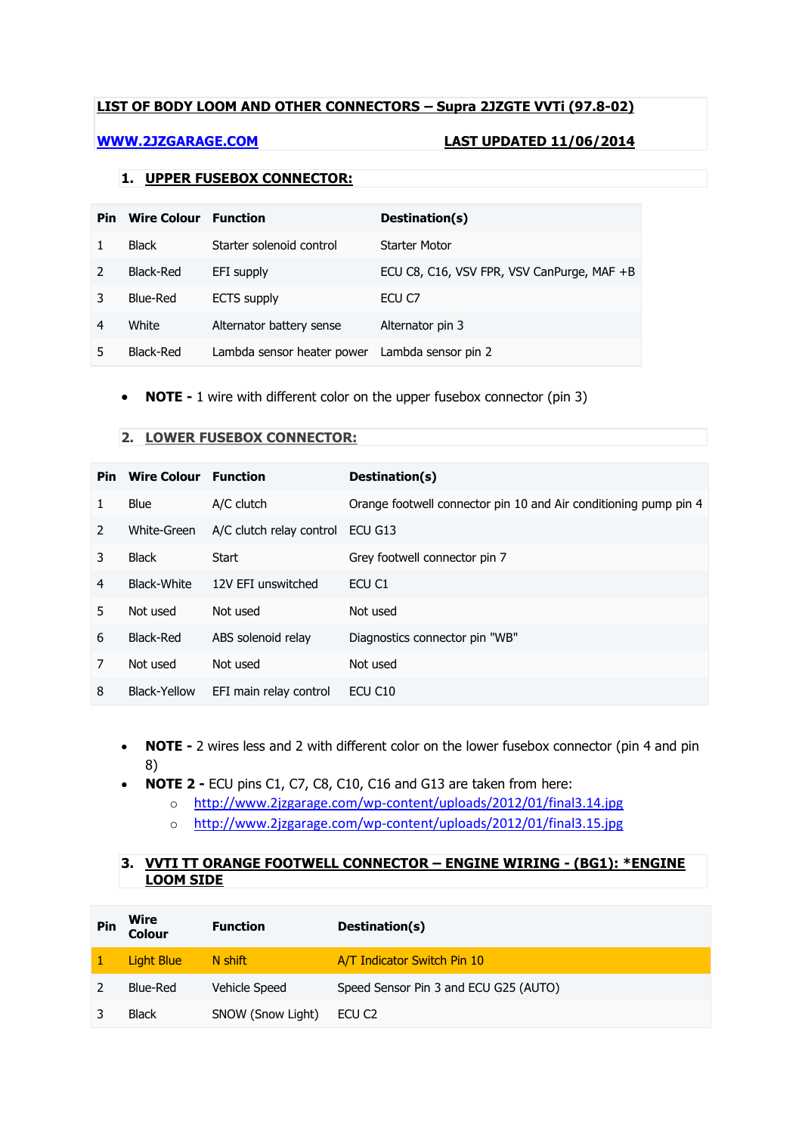## **LIST OF BODY LOOM AND OTHER CONNECTORS – Supra 2JZGTE VVTi (97.8-02)**

### **[WWW.2JZGARAGE.COM](http://www.2jzgarage.com/) LAST UPDATED 11/06/2014**

## **1. UPPER FUSEBOX CONNECTOR:**

| Pin | <b>Wire Colour</b> | <b>Function</b>                                | Destination(s)                             |
|-----|--------------------|------------------------------------------------|--------------------------------------------|
|     | <b>Black</b>       | Starter solenoid control                       | Starter Motor                              |
|     | Black-Red          | EFI supply                                     | ECU C8, C16, VSV FPR, VSV CanPurge, MAF +B |
|     | Blue-Red           | <b>ECTS</b> supply                             | ECU C7                                     |
| 4   | White              | Alternator battery sense                       | Alternator pin 3                           |
|     | Black-Red          | Lambda sensor heater power Lambda sensor pin 2 |                                            |

• **NOTE -** 1 wire with different color on the upper fusebox connector (pin 3)

### **2. LOWER FUSEBOX CONNECTOR:**

| Pin           | <b>Wire Colour</b> | <b>Function</b>          | Destination(s)                                                   |
|---------------|--------------------|--------------------------|------------------------------------------------------------------|
|               | Blue               | A/C clutch               | Orange footwell connector pin 10 and Air conditioning pump pin 4 |
| $\mathcal{L}$ | White-Green        | A/C clutch relay control | ECU G13                                                          |
| 3             | <b>Black</b>       | Start                    | Grey footwell connector pin 7                                    |
| 4             | Black-White        | 12V EFI unswitched       | ECU C1                                                           |
| 5             | Not used           | Not used                 | Not used                                                         |
| 6             | Black-Red          | ABS solenoid relay       | Diagnostics connector pin "WB"                                   |
| 7             | Not used           | Not used                 | Not used                                                         |
| 8             | Black-Yellow       | EFI main relay control   | ECU C <sub>10</sub>                                              |

- **NOTE -** 2 wires less and 2 with different color on the lower fusebox connector (pin 4 and pin 8)
- **NOTE 2 -** ECU pins C1, C7, C8, C10, C16 and G13 are taken from here:
	- o <http://www.2jzgarage.com/wp-content/uploads/2012/01/final3.14.jpg>
	- o <http://www.2jzgarage.com/wp-content/uploads/2012/01/final3.15.jpg>

## **3. VVTI TT ORANGE FOOTWELL CONNECTOR – ENGINE WIRING - (BG1): \*ENGINE LOOM SIDE**

| Pin | Wire<br>Colour | <b>Function</b>   | Destination(s)                        |
|-----|----------------|-------------------|---------------------------------------|
|     | Light Blue     | N shift           | A/T Indicator Switch Pin 10           |
|     | Blue-Red       | Vehicle Speed     | Speed Sensor Pin 3 and ECU G25 (AUTO) |
|     | <b>Black</b>   | SNOW (Snow Light) | ECU C <sub>2</sub>                    |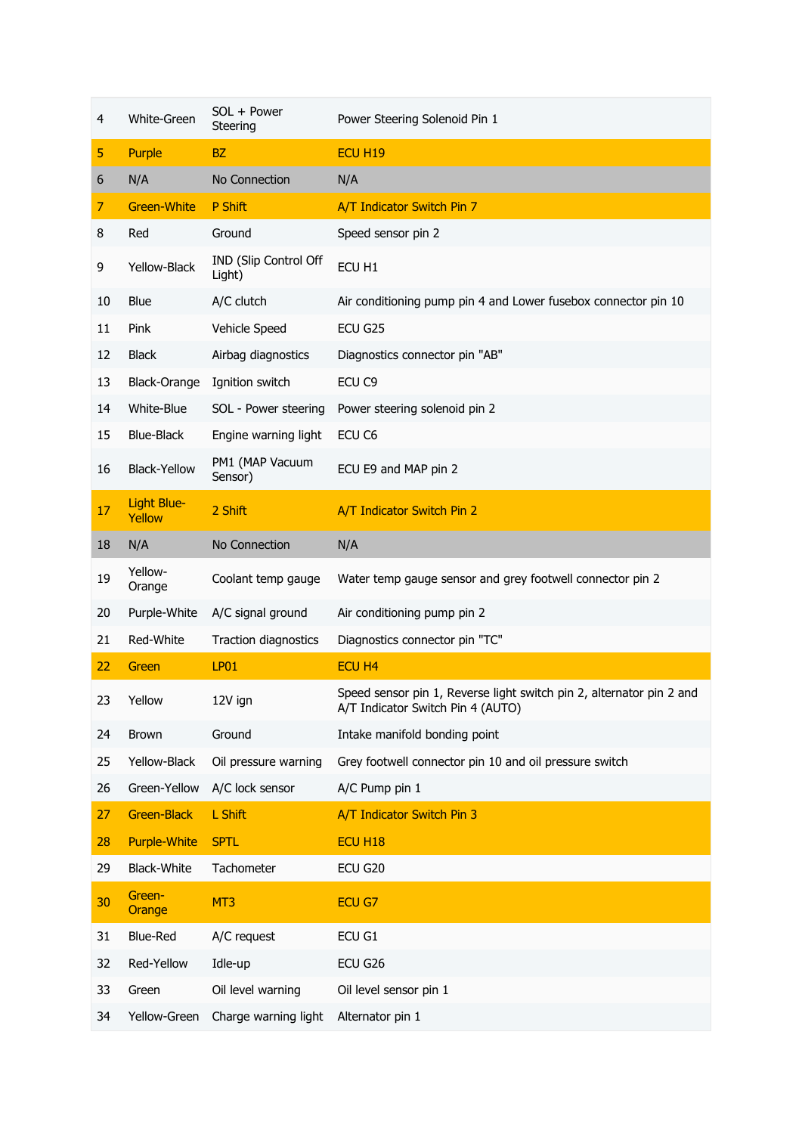| 4  | White-Green           | SOL + Power<br>Steering         | Power Steering Solenoid Pin 1                                                                             |
|----|-----------------------|---------------------------------|-----------------------------------------------------------------------------------------------------------|
| 5  | Purple                | <b>BZ</b>                       | ECU <sub>H19</sub>                                                                                        |
| 6  | N/A                   | No Connection                   | N/A                                                                                                       |
| 7  | <b>Green-White</b>    | P Shift                         | A/T Indicator Switch Pin 7                                                                                |
| 8  | Red                   | Ground                          | Speed sensor pin 2                                                                                        |
| 9  | Yellow-Black          | IND (Slip Control Off<br>Light) | ECU H1                                                                                                    |
| 10 | <b>Blue</b>           | A/C clutch                      | Air conditioning pump pin 4 and Lower fusebox connector pin 10                                            |
| 11 | Pink                  | Vehicle Speed                   | ECU G25                                                                                                   |
| 12 | <b>Black</b>          | Airbag diagnostics              | Diagnostics connector pin "AB"                                                                            |
| 13 | Black-Orange          | Ignition switch                 | ECU <sub>C9</sub>                                                                                         |
| 14 | White-Blue            | SOL - Power steering            | Power steering solenoid pin 2                                                                             |
| 15 | <b>Blue-Black</b>     | Engine warning light            | ECU C6                                                                                                    |
| 16 | <b>Black-Yellow</b>   | PM1 (MAP Vacuum<br>Sensor)      | ECU E9 and MAP pin 2                                                                                      |
| 17 | Light Blue-<br>Yellow | 2 Shift                         | A/T Indicator Switch Pin 2                                                                                |
| 18 | N/A                   | No Connection                   | N/A                                                                                                       |
| 19 | Yellow-<br>Orange     | Coolant temp gauge              | Water temp gauge sensor and grey footwell connector pin 2                                                 |
|    |                       |                                 |                                                                                                           |
| 20 | Purple-White          | A/C signal ground               | Air conditioning pump pin 2                                                                               |
| 21 | Red-White             | Traction diagnostics            | Diagnostics connector pin "TC"                                                                            |
| 22 | Green                 | <b>LP01</b>                     | ECU H <sub>4</sub>                                                                                        |
| 23 | Yellow                | 12V ign                         | Speed sensor pin 1, Reverse light switch pin 2, alternator pin 2 and<br>A/T Indicator Switch Pin 4 (AUTO) |
| 24 | <b>Brown</b>          | Ground                          | Intake manifold bonding point                                                                             |
| 25 | Yellow-Black          | Oil pressure warning            | Grey footwell connector pin 10 and oil pressure switch                                                    |
| 26 | Green-Yellow          | A/C lock sensor                 | A/C Pump pin 1                                                                                            |
| 27 | <b>Green-Black</b>    | L Shift                         | A/T Indicator Switch Pin 3                                                                                |
| 28 | <b>Purple-White</b>   | <b>SPTL</b>                     | <b>ECU H18</b>                                                                                            |
| 29 | <b>Black-White</b>    | Tachometer                      | ECU G20                                                                                                   |
| 30 | Green-<br>Orange      | MT3                             | ECU G7                                                                                                    |
| 31 | <b>Blue-Red</b>       | A/C request                     | ECU G1                                                                                                    |
| 32 | Red-Yellow            | Idle-up                         | ECU G26                                                                                                   |
| 33 | Green                 | Oil level warning               | Oil level sensor pin 1                                                                                    |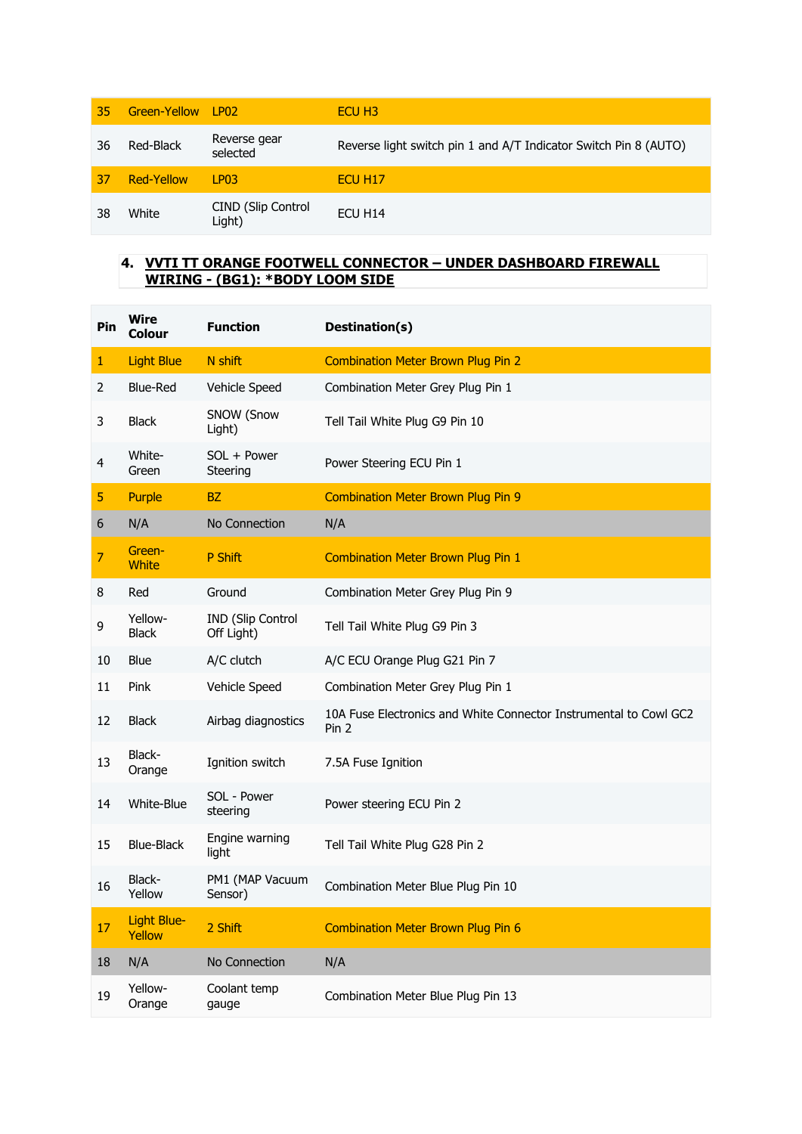| 35 | Green-Yellow LP02 |                                     | ECU H <sub>3</sub>                                               |
|----|-------------------|-------------------------------------|------------------------------------------------------------------|
| 36 | Red-Black         | Reverse gear<br>selected            | Reverse light switch pin 1 and A/T Indicator Switch Pin 8 (AUTO) |
| 37 | Red-Yellow        | 1P03                                | ECU H <sub>17</sub>                                              |
| 38 | White             | <b>CIND (Slip Control</b><br>Light) | ECU H14                                                          |

### **4. VVTI TT ORANGE FOOTWELL CONNECTOR – UNDER DASHBOARD FIREWALL WIRING - (BG1): \*BODY LOOM SIDE**

| Pin | <b>Wire</b><br>Colour   | <b>Function</b>                        | Destination(s)                                                             |
|-----|-------------------------|----------------------------------------|----------------------------------------------------------------------------|
| 1   | <b>Light Blue</b>       | N shift                                | <b>Combination Meter Brown Plug Pin 2</b>                                  |
| 2   | <b>Blue-Red</b>         | Vehicle Speed                          | Combination Meter Grey Plug Pin 1                                          |
| 3   | <b>Black</b>            | SNOW (Snow<br>Light)                   | Tell Tail White Plug G9 Pin 10                                             |
| 4   | White-<br>Green         | SOL + Power<br>Steering                | Power Steering ECU Pin 1                                                   |
| 5   | <b>Purple</b>           | BZ                                     | <b>Combination Meter Brown Plug Pin 9</b>                                  |
| 6   | N/A                     | No Connection                          | N/A                                                                        |
| 7   | Green-<br><b>White</b>  | P Shift                                | <b>Combination Meter Brown Plug Pin 1</b>                                  |
| 8   | Red                     | Ground                                 | Combination Meter Grey Plug Pin 9                                          |
| 9   | Yellow-<br><b>Black</b> | <b>IND (Slip Control</b><br>Off Light) | Tell Tail White Plug G9 Pin 3                                              |
| 10  | <b>Blue</b>             | A/C clutch                             | A/C ECU Orange Plug G21 Pin 7                                              |
| 11  | Pink                    | Vehicle Speed                          | Combination Meter Grey Plug Pin 1                                          |
| 12  | <b>Black</b>            | Airbag diagnostics                     | 10A Fuse Electronics and White Connector Instrumental to Cowl GC2<br>Pin 2 |
| 13  | Black-<br>Orange        | Ignition switch                        | 7.5A Fuse Ignition                                                         |
| 14  | White-Blue              | SOL - Power<br>steering                | Power steering ECU Pin 2                                                   |
| 15  | <b>Blue-Black</b>       | Engine warning<br>light                | Tell Tail White Plug G28 Pin 2                                             |
| 16  | Black-<br>Yellow        | PM1 (MAP Vacuum<br>Sensor)             | Combination Meter Blue Plug Pin 10                                         |
| 17  | Light Blue-<br>Yellow   | 2 Shift                                | <b>Combination Meter Brown Plug Pin 6</b>                                  |
| 18  | N/A                     | No Connection                          | N/A                                                                        |
| 19  | Yellow-<br>Orange       | Coolant temp<br>gauge                  | Combination Meter Blue Plug Pin 13                                         |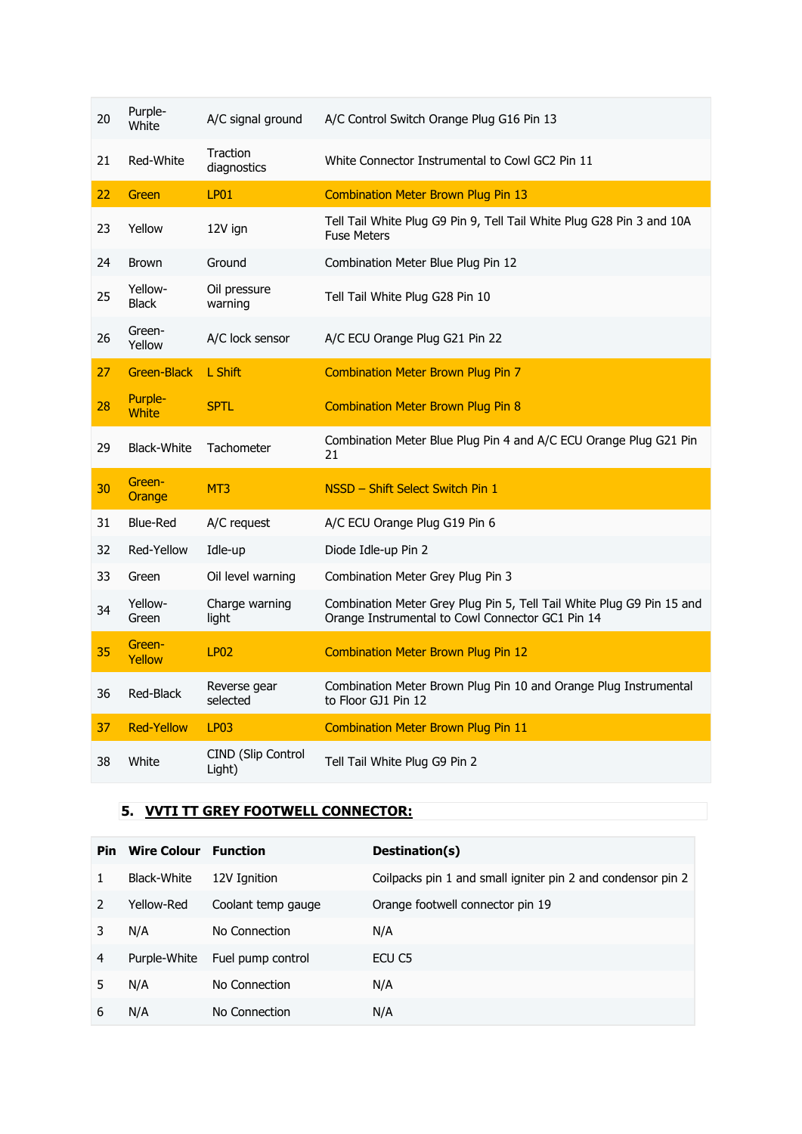| 20 | Purple-<br>White        | A/C signal ground            | A/C Control Switch Orange Plug G16 Pin 13                                                                                 |
|----|-------------------------|------------------------------|---------------------------------------------------------------------------------------------------------------------------|
| 21 | Red-White               | Traction<br>diagnostics      | White Connector Instrumental to Cowl GC2 Pin 11                                                                           |
| 22 | Green                   | <b>LP01</b>                  | <b>Combination Meter Brown Plug Pin 13</b>                                                                                |
| 23 | Yellow                  | 12V ign                      | Tell Tail White Plug G9 Pin 9, Tell Tail White Plug G28 Pin 3 and 10A<br><b>Fuse Meters</b>                               |
| 24 | <b>Brown</b>            | Ground                       | Combination Meter Blue Plug Pin 12                                                                                        |
| 25 | Yellow-<br><b>Black</b> | Oil pressure<br>warning      | Tell Tail White Plug G28 Pin 10                                                                                           |
| 26 | Green-<br>Yellow        | A/C lock sensor              | A/C ECU Orange Plug G21 Pin 22                                                                                            |
| 27 | <b>Green-Black</b>      | L Shift                      | <b>Combination Meter Brown Plug Pin 7</b>                                                                                 |
| 28 | Purple-<br><b>White</b> | <b>SPTL</b>                  | <b>Combination Meter Brown Plug Pin 8</b>                                                                                 |
| 29 | <b>Black-White</b>      | <b>Tachometer</b>            | Combination Meter Blue Plug Pin 4 and A/C ECU Orange Plug G21 Pin<br>21                                                   |
| 30 | Green-<br>Orange        | MT <sub>3</sub>              | NSSD - Shift Select Switch Pin 1                                                                                          |
| 31 | <b>Blue-Red</b>         | A/C request                  | A/C ECU Orange Plug G19 Pin 6                                                                                             |
| 32 | Red-Yellow              | Idle-up                      | Diode Idle-up Pin 2                                                                                                       |
| 33 | Green                   | Oil level warning            | Combination Meter Grey Plug Pin 3                                                                                         |
| 34 | Yellow-<br>Green        | Charge warning<br>light      | Combination Meter Grey Plug Pin 5, Tell Tail White Plug G9 Pin 15 and<br>Orange Instrumental to Cowl Connector GC1 Pin 14 |
| 35 | Green-<br>Yellow        | <b>LP02</b>                  | <b>Combination Meter Brown Plug Pin 12</b>                                                                                |
| 36 | Red-Black               | Reverse gear<br>selected     | Combination Meter Brown Plug Pin 10 and Orange Plug Instrumental<br>to Floor GJ1 Pin 12                                   |
| 37 | <b>Red-Yellow</b>       | LP <sub>03</sub>             | <b>Combination Meter Brown Plug Pin 11</b>                                                                                |
| 38 | White                   | CIND (Slip Control<br>Light) | Tell Tail White Plug G9 Pin 2                                                                                             |

## **5. VVTI TT GREY FOOTWELL CONNECTOR:**

| Pin. | <b>Wire Colour</b> Function |                    | Destination(s)                                              |
|------|-----------------------------|--------------------|-------------------------------------------------------------|
|      | Black-White                 | 12V Ignition       | Coilpacks pin 1 and small igniter pin 2 and condensor pin 2 |
|      | Yellow-Red                  | Coolant temp gauge | Orange footwell connector pin 19                            |
|      | N/A                         | No Connection      | N/A                                                         |
| 4    | Purple-White                | Fuel pump control  | ECU C5                                                      |
| 5    | N/A                         | No Connection      | N/A                                                         |
| 6    | N/A                         | No Connection      | N/A                                                         |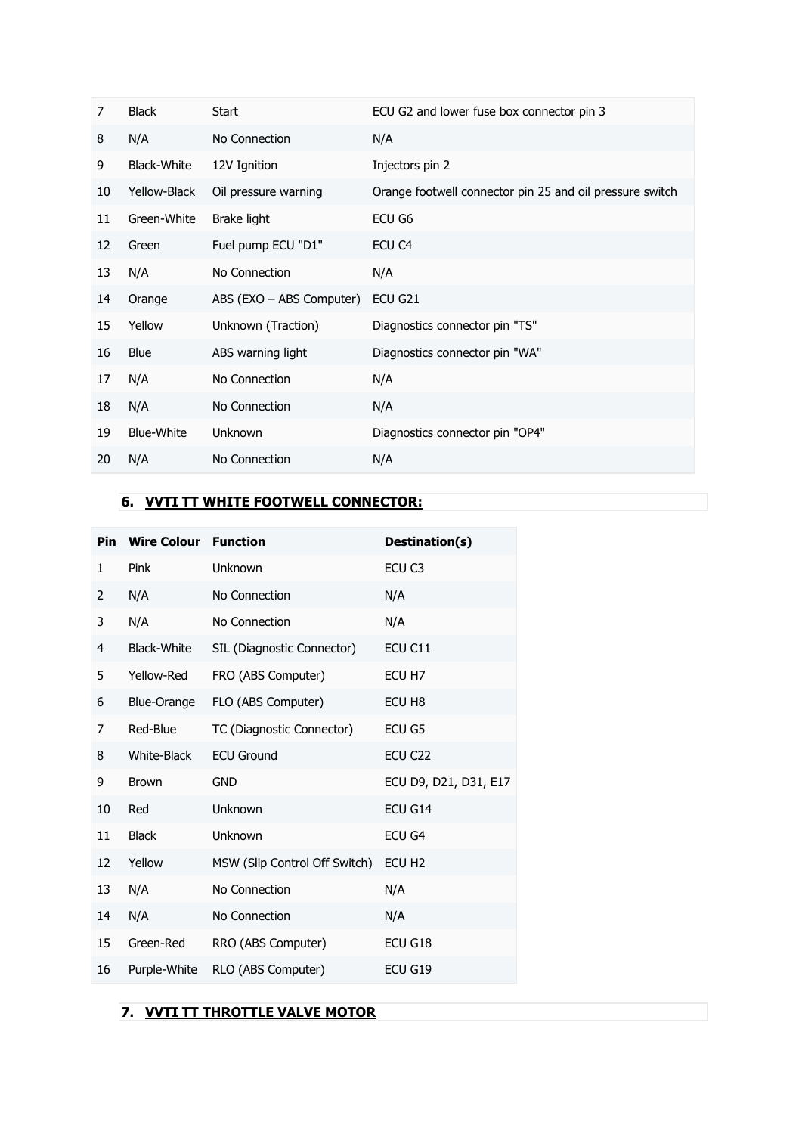| 7  | <b>Black</b>       | Start                    | ECU G2 and lower fuse box connector pin 3                |
|----|--------------------|--------------------------|----------------------------------------------------------|
| 8  | N/A                | No Connection            | N/A                                                      |
| 9  | <b>Black-White</b> | 12V Ignition             | Injectors pin 2                                          |
| 10 | Yellow-Black       | Oil pressure warning     | Orange footwell connector pin 25 and oil pressure switch |
| 11 | Green-White        | Brake light              | ECU G6                                                   |
| 12 | Green              | Fuel pump ECU "D1"       | ECU <sub>C4</sub>                                        |
| 13 | N/A                | No Connection            | N/A                                                      |
| 14 | Orange             | ABS (EXO – ABS Computer) | ECU G21                                                  |
| 15 | Yellow             | Unknown (Traction)       | Diagnostics connector pin "TS"                           |
| 16 | <b>Blue</b>        | ABS warning light        | Diagnostics connector pin "WA"                           |
| 17 | N/A                | No Connection            | N/A                                                      |
| 18 | N/A                | No Connection            | N/A                                                      |
| 19 | <b>Blue-White</b>  | <b>Unknown</b>           | Diagnostics connector pin "OP4"                          |
| 20 | N/A                | No Connection            | N/A                                                      |

# **6. VVTI TT WHITE FOOTWELL CONNECTOR:**

|    | <b>Pin Wire Colour Function</b> |                               | Destination(s)        |
|----|---------------------------------|-------------------------------|-----------------------|
| 1  | Pink                            | Unknown                       | ECU <sub>C3</sub>     |
| 2  | N/A                             | No Connection                 | N/A                   |
| 3  | N/A                             | No Connection                 | N/A                   |
| 4  | Black-White                     | SIL (Diagnostic Connector)    | ECU C11               |
| 5  | Yellow-Red                      | FRO (ABS Computer)            | ECU H7                |
| 6  | Blue-Orange                     | FLO (ABS Computer)            | ECU H8                |
| 7  | Red-Blue                        | TC (Diagnostic Connector)     | ECU G5                |
| 8  | White-Black                     | <b>ECU Ground</b>             | ECU C <sub>22</sub>   |
| 9  | <b>Brown</b>                    | <b>GND</b>                    | ECU D9, D21, D31, E17 |
| 10 | Red                             | <b>Unknown</b>                | ECU G14               |
| 11 | <b>Black</b>                    | Unknown                       | ECU G4                |
| 12 | Yellow                          | MSW (Slip Control Off Switch) | ECU H <sub>2</sub>    |
| 13 | N/A                             | No Connection                 | N/A                   |
| 14 | N/A                             | No Connection                 | N/A                   |
| 15 | Green-Red                       | RRO (ABS Computer)            | ECU G18               |
| 16 | Purple-White                    | RLO (ABS Computer)            | ECU G19               |

## **7. VVTI TT THROTTLE VALVE MOTOR**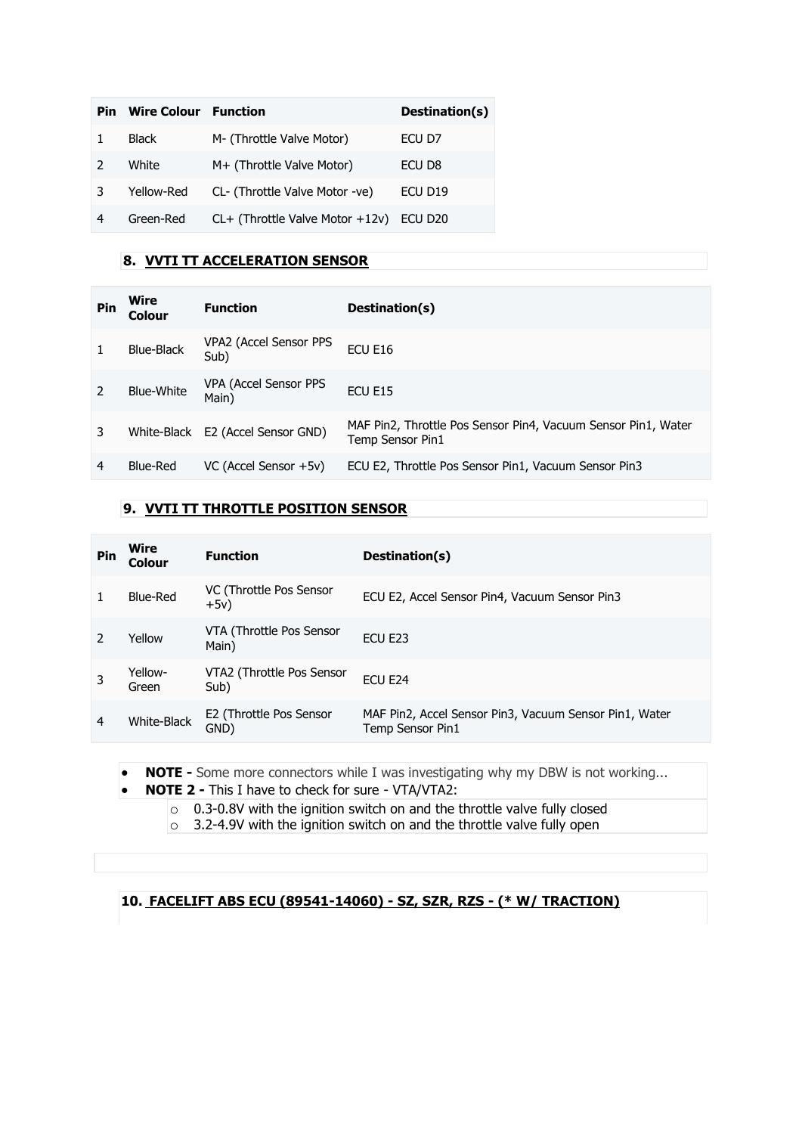| <b>Pin</b>    | <b>Wire Colour</b> Function |                                      | Destination(s)      |
|---------------|-----------------------------|--------------------------------------|---------------------|
|               | <b>Black</b>                | M- (Throttle Valve Motor)            | ECU D7              |
| $\mathcal{P}$ | White                       | M+ (Throttle Valve Motor)            | ECU D <sub>8</sub>  |
| 3             | Yellow-Red                  | CL- (Throttle Valve Motor -ve)       | ECU D <sub>19</sub> |
| 4             | Green-Red                   | $CL+$ (Throttle Valve Motor $+12v$ ) | ECU D20             |

## **8. VVTI TT ACCELERATION SENSOR**

| Pin | Wire<br>Colour    | <b>Function</b>                | Destination(s)                                                                    |
|-----|-------------------|--------------------------------|-----------------------------------------------------------------------------------|
|     | Blue-Black        | VPA2 (Accel Sensor PPS<br>Sub) | ECU E16                                                                           |
|     | <b>Blue-White</b> | VPA (Accel Sensor PPS<br>Main) | FCU F <sub>15</sub>                                                               |
| 3   | White-Black       | E2 (Accel Sensor GND)          | MAF Pin2, Throttle Pos Sensor Pin4, Vacuum Sensor Pin1, Water<br>Temp Sensor Pin1 |
| 4   | <b>Blue-Red</b>   | VC (Accel Sensor +5v)          | ECU E2, Throttle Pos Sensor Pin1, Vacuum Sensor Pin3                              |

## **9. VVTI TT THROTTLE POSITION SENSOR**

| Pin | Wire<br>Colour   | <b>Function</b>                   | Destination(s)                                                             |
|-----|------------------|-----------------------------------|----------------------------------------------------------------------------|
|     | Blue-Red         | VC (Throttle Pos Sensor<br>$+5v)$ | ECU E2, Accel Sensor Pin4, Vacuum Sensor Pin3                              |
|     | Yellow           | VTA (Throttle Pos Sensor<br>Main) | ECU E23                                                                    |
|     | Yellow-<br>Green | VTA2 (Throttle Pos Sensor<br>Sub) | ECU E24                                                                    |
| 4   | White-Black      | E2 (Throttle Pos Sensor<br>GND)   | MAF Pin2, Accel Sensor Pin3, Vacuum Sensor Pin1, Water<br>Temp Sensor Pin1 |

- **NOTE -** Some more connectors while I was investigating why my DBW is not working...
- **NOTE 2 -** This I have to check for sure VTA/VTA2:

 $\circ$  0.3-0.8V with the ignition switch on and the throttle valve fully closed

 $\overline{\circ}$  3.2-4.9V with the ignition switch on and the throttle valve fully open

## **10. FACELIFT ABS ECU (89541-14060) - SZ, SZR, RZS - (\* W/ TRACTION)**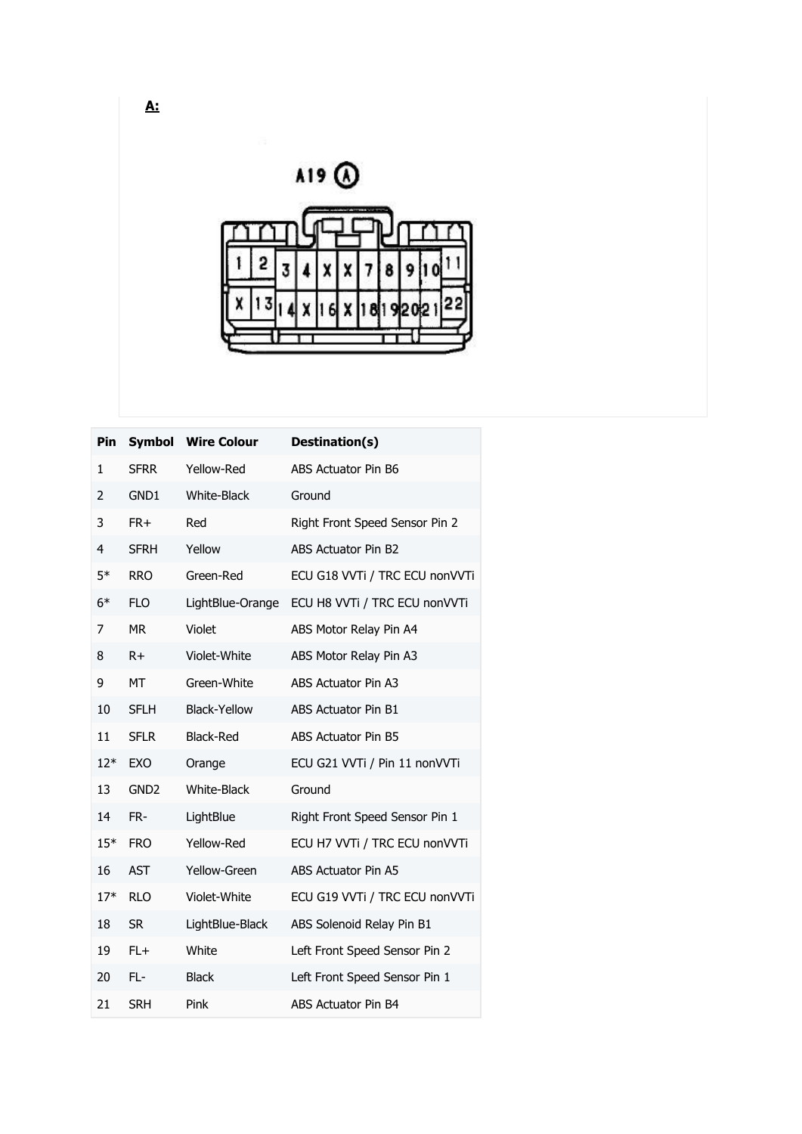A19 @

|  |  |  | z<br>x 7     | 8 9 |      |  |
|--|--|--|--------------|-----|------|--|
|  |  |  | $6$ $x$ $18$ |     | 1920 |  |
|  |  |  |              |     |      |  |

| <b>Pin</b> |                  | <b>Symbol</b> Wire Colour | Destination(s)                 |
|------------|------------------|---------------------------|--------------------------------|
| 1          | <b>SFRR</b>      | Yellow-Red                | ABS Actuator Pin B6            |
| 2          | GND1             | <b>White-Black</b>        | Ground                         |
| 3          | FR+              | Red                       | Right Front Speed Sensor Pin 2 |
| 4          | <b>SFRH</b>      | Yellow                    | <b>ABS Actuator Pin B2</b>     |
| $5*$       | <b>RRO</b>       | Green-Red                 | ECU G18 VVTi / TRC ECU nonVVTi |
| $6*$       | <b>FLO</b>       | LightBlue-Orange          | ECU H8 VVTi / TRC ECU nonVVTi  |
| 7          | <b>MR</b>        | Violet                    | ABS Motor Relay Pin A4         |
| 8          | $R+$             | Violet-White              | ABS Motor Relay Pin A3         |
| 9          | <b>MT</b>        | Green-White               | ABS Actuator Pin A3            |
| 10         | <b>SFLH</b>      | <b>Black-Yellow</b>       | ABS Actuator Pin B1            |
| 11         | <b>SFLR</b>      | <b>Black-Red</b>          | ABS Actuator Pin B5            |
| $12*$      | <b>EXO</b>       | Orange                    | ECU G21 VVTi / Pin 11 nonVVTi  |
| 13         | GND <sub>2</sub> | <b>White-Black</b>        | Ground                         |
| 14         | FR-              | LightBlue                 | Right Front Speed Sensor Pin 1 |
| $15*$      | <b>FRO</b>       | Yellow-Red                | ECU H7 VVTi / TRC ECU nonVVTi  |
| 16         | <b>AST</b>       | Yellow-Green              | ABS Actuator Pin A5            |
| $17*$      | <b>RLO</b>       | Violet-White              | ECU G19 VVTi / TRC ECU nonVVTi |
| 18         | <b>SR</b>        | LightBlue-Black           | ABS Solenoid Relay Pin B1      |
| 19         | $FL+$            | White                     | Left Front Speed Sensor Pin 2  |
| 20         | FL-              | <b>Black</b>              | Left Front Speed Sensor Pin 1  |
| 21         | <b>SRH</b>       | Pink                      | <b>ABS Actuator Pin B4</b>     |

**A:**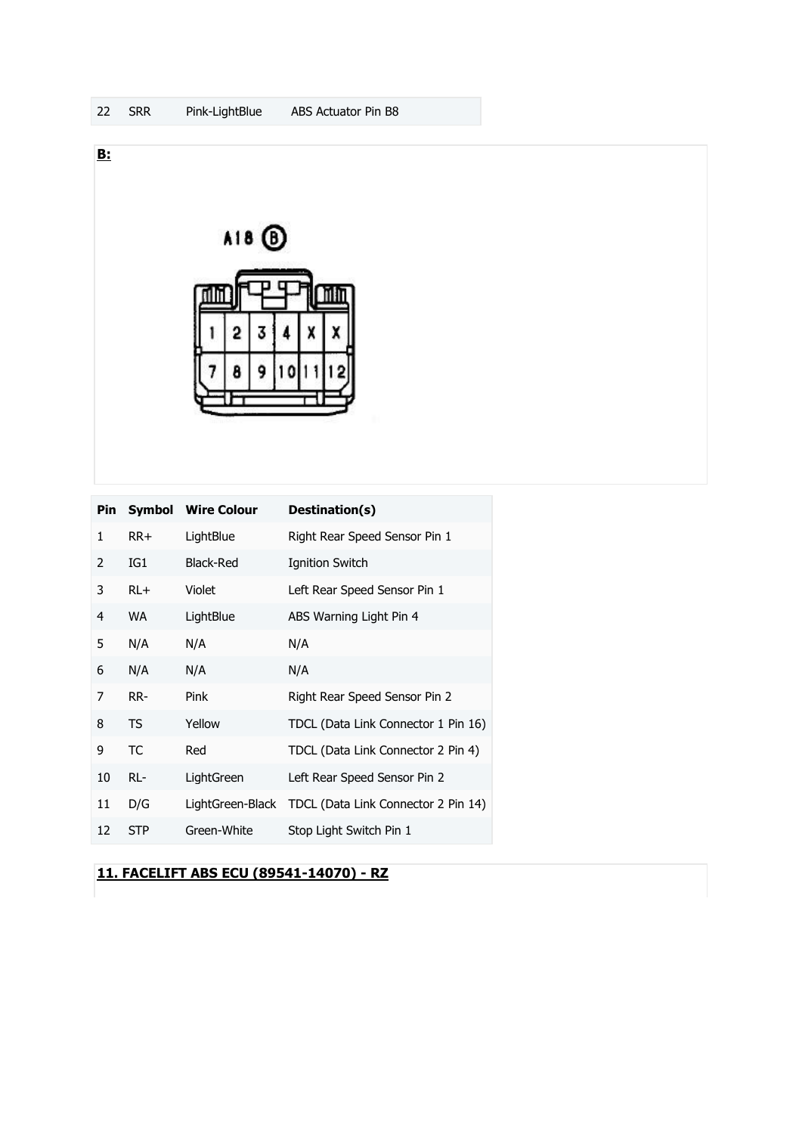

|    |            | Pin Symbol Wire Colour | Destination(s)                                       |
|----|------------|------------------------|------------------------------------------------------|
| 1  | $RR+$      | LightBlue              | Right Rear Speed Sensor Pin 1                        |
| 2  | IG1        | <b>Black-Red</b>       | <b>Ignition Switch</b>                               |
| 3  | $RL+$      | Violet                 | Left Rear Speed Sensor Pin 1                         |
| 4  | WA         | LightBlue              | ABS Warning Light Pin 4                              |
| 5  | N/A        | N/A                    | N/A                                                  |
| 6  | N/A        | N/A                    | N/A                                                  |
| 7  | RR-        | Pink                   | Right Rear Speed Sensor Pin 2                        |
| 8  | TS         | Yellow                 | TDCL (Data Link Connector 1 Pin 16)                  |
| 9  | TC         | Red                    | TDCL (Data Link Connector 2 Pin 4)                   |
| 10 | RL-        | LightGreen             | Left Rear Speed Sensor Pin 2                         |
| 11 | D/G        |                        | LightGreen-Black TDCL (Data Link Connector 2 Pin 14) |
| 12 | <b>STP</b> | Green-White            | Stop Light Switch Pin 1                              |

**11. FACELIFT ABS ECU (89541-14070) - RZ**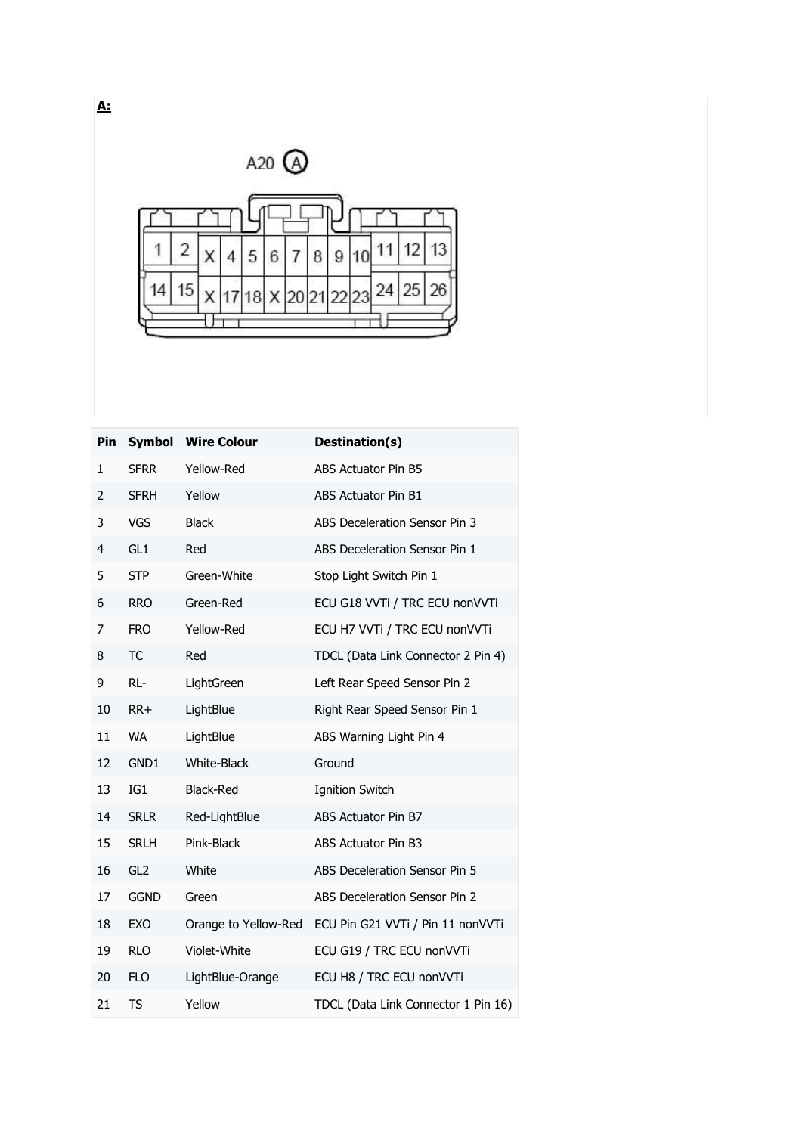

| <b>Pin</b>   | <b>Symbol</b>   | <b>Wire Colour</b>   | Destination(s)                      |
|--------------|-----------------|----------------------|-------------------------------------|
| $\mathbf{1}$ | <b>SFRR</b>     | Yellow-Red           | ABS Actuator Pin B5                 |
| 2            | <b>SFRH</b>     | Yellow               | ABS Actuator Pin B1                 |
| 3            | <b>VGS</b>      | <b>Black</b>         | ABS Deceleration Sensor Pin 3       |
| 4            | GL <sub>1</sub> | Red                  | ABS Deceleration Sensor Pin 1       |
| 5            | <b>STP</b>      | Green-White          | Stop Light Switch Pin 1             |
| 6            | <b>RRO</b>      | Green-Red            | ECU G18 VVTi / TRC ECU nonVVTi      |
| 7            | <b>FRO</b>      | Yellow-Red           | ECU H7 VVTi / TRC ECU nonVVTi       |
| 8            | <b>TC</b>       | Red                  | TDCL (Data Link Connector 2 Pin 4)  |
| 9            | RL-             | LightGreen           | Left Rear Speed Sensor Pin 2        |
| 10           | $RR+$           | LightBlue            | Right Rear Speed Sensor Pin 1       |
| 11           | <b>WA</b>       | LightBlue            | ABS Warning Light Pin 4             |
| 12           | GND1            | <b>White-Black</b>   | Ground                              |
| 13           | IG1             | <b>Black-Red</b>     | <b>Ignition Switch</b>              |
| 14           | <b>SRLR</b>     | Red-LightBlue        | ABS Actuator Pin B7                 |
| 15           | <b>SRLH</b>     | Pink-Black           | ABS Actuator Pin B3                 |
| 16           | GL <sub>2</sub> | White                | ABS Deceleration Sensor Pin 5       |
| 17           | <b>GGND</b>     | Green                | ABS Deceleration Sensor Pin 2       |
| 18           | EXO             | Orange to Yellow-Red | ECU Pin G21 VVTi / Pin 11 nonVVTi   |
| 19           | <b>RLO</b>      | Violet-White         | ECU G19 / TRC ECU nonVVTi           |
| 20           | <b>FLO</b>      | LightBlue-Orange     | ECU H8 / TRC ECU nonVVTi            |
| 21           | <b>TS</b>       | Yellow               | TDCL (Data Link Connector 1 Pin 16) |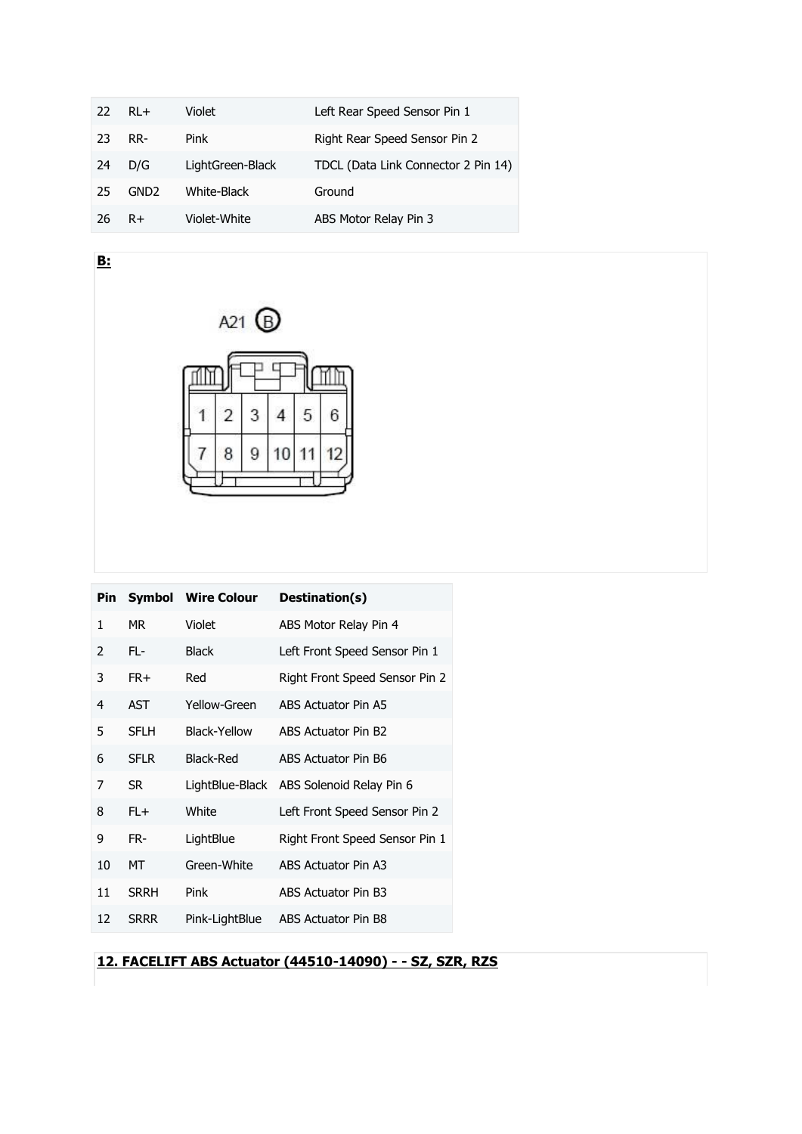| 22 | $R1 +$           | Violet           | Left Rear Speed Sensor Pin 1        |
|----|------------------|------------------|-------------------------------------|
| 23 | RR-              | Pink             | Right Rear Speed Sensor Pin 2       |
| 24 | D/G              | LightGreen-Black | TDCL (Data Link Connector 2 Pin 14) |
| 25 | GND <sub>2</sub> | White-Black      | Ground                              |
| 26 | $R+$             | Violet-White     | ABS Motor Relay Pin 3               |



**B:**

| Pin |             | <b>Symbol</b> Wire Colour | Destination(s)                           |
|-----|-------------|---------------------------|------------------------------------------|
| 1   | MR.         | Violet                    | ABS Motor Relay Pin 4                    |
| 2   | FL-         | <b>Black</b>              | Left Front Speed Sensor Pin 1            |
| 3   | FR+         | Red                       | Right Front Speed Sensor Pin 2           |
| 4   | <b>AST</b>  | Yellow-Green              | ABS Actuator Pin A5                      |
| 5   | <b>SFLH</b> | Black-Yellow              | ABS Actuator Pin B2                      |
| 6   | <b>SFLR</b> | Black-Red                 | ABS Actuator Pin B6                      |
| 7   | <b>SR</b>   |                           | LightBlue-Black ABS Solenoid Relay Pin 6 |
| 8   | $FL+$       | White                     | Left Front Speed Sensor Pin 2            |
| 9   | FR-         | LightBlue                 | Right Front Speed Sensor Pin 1           |
| 10  | МT          | Green-White               | ABS Actuator Pin A3                      |
| 11  | <b>SRRH</b> | Pink                      | ABS Actuator Pin B3                      |
| 12  | <b>SRRR</b> | Pink-LightBlue            | ABS Actuator Pin B8                      |

**12. FACELIFT ABS Actuator (44510-14090) - - SZ, SZR, RZS**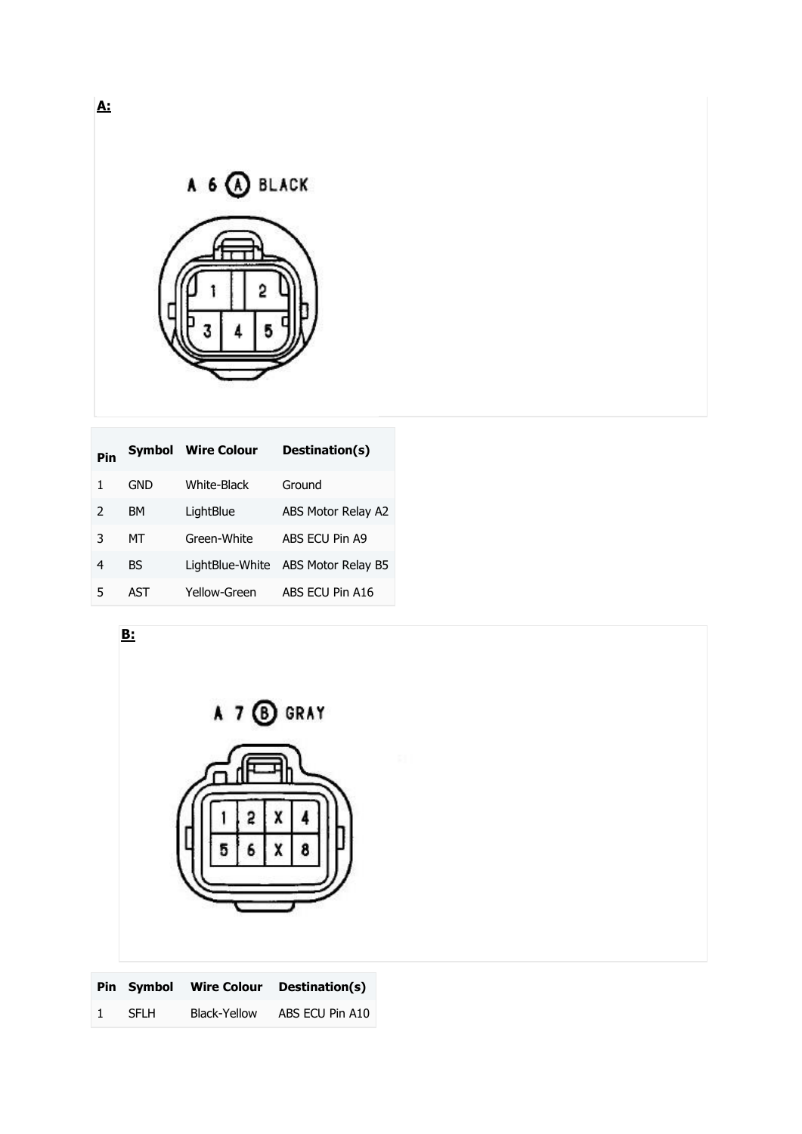

| Pin |     | <b>Symbol Wire Colour</b> | Destination(s)     |
|-----|-----|---------------------------|--------------------|
|     | GND | White-Black               | Ground             |
| 2   | BМ  | LightBlue                 | ABS Motor Relay A2 |
| 3   | мт  | Green-White               | ABS ECU Pin A9     |
| 4   | BS  | LightBlue-White           | ABS Motor Relay B5 |
| 5   | AST | Yellow-Green              | ABS ECU Pin A16    |



**A:**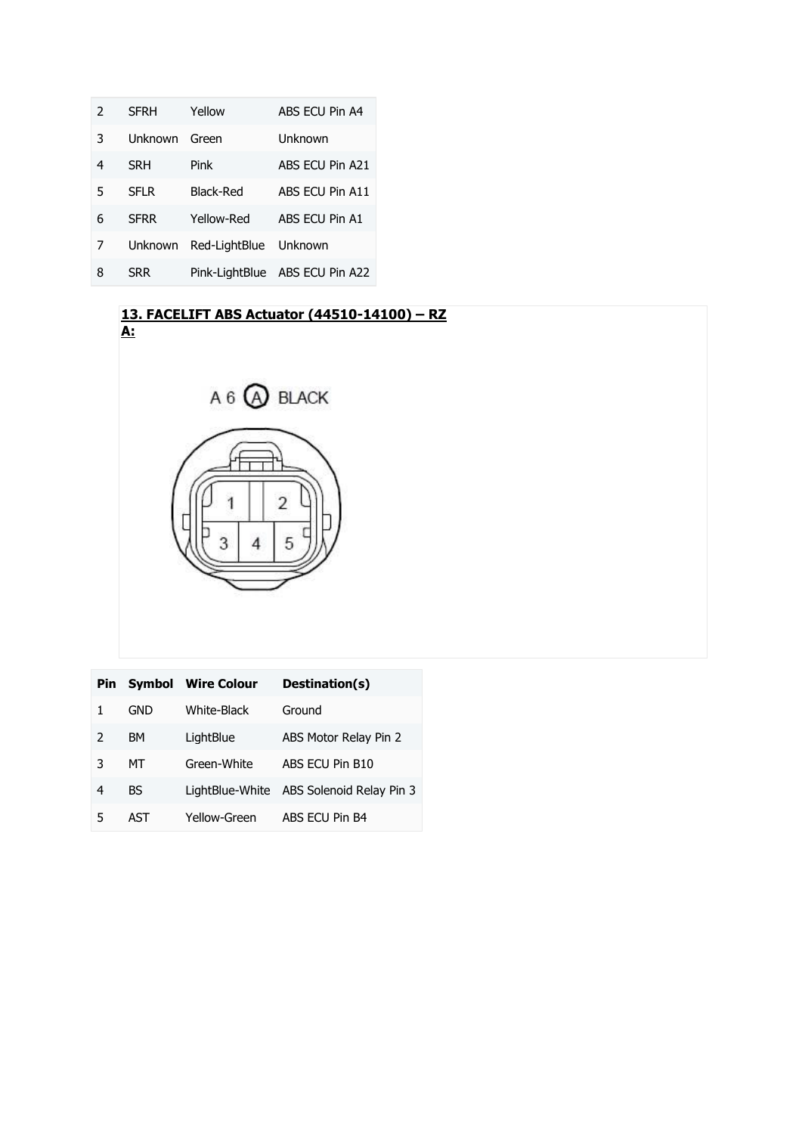| 2 | <b>SFRH</b>    | Yellow                | ABS ECU Pin A4                 |
|---|----------------|-----------------------|--------------------------------|
| 3 | <b>Unknown</b> | Green                 | Unknown                        |
| 4 | <b>SRH</b>     | Pink                  | ABS ECU Pin A21                |
| 5 | SFI R          | Black-Red             | ABS ECU Pin A11                |
| 6 | <b>SFRR</b>    | Yellow-Red            | ABS ECU Pin A1                 |
| 7 | <b>Unknown</b> | Red-LightBlue Unknown |                                |
| 8 | <b>SRR</b>     |                       | Pink-LightBlue ABS ECU Pin A22 |

#### **13. FACELIFT ABS Actuator (44510-14100) – RZ A:**



| Pin.          |           | <b>Symbol</b> Wire Colour | Destination(s)                           |
|---------------|-----------|---------------------------|------------------------------------------|
|               | GND       | <b>White-Black</b>        | Ground                                   |
| $\mathcal{P}$ | <b>BM</b> | LightBlue                 | ABS Motor Relay Pin 2                    |
| 3             | МT        | Green-White               | ABS ECU Pin B10                          |
| 4             | <b>BS</b> |                           | LightBlue-White ABS Solenoid Relay Pin 3 |
| 5             | AST       | Yellow-Green              | ABS FCU Pin B4                           |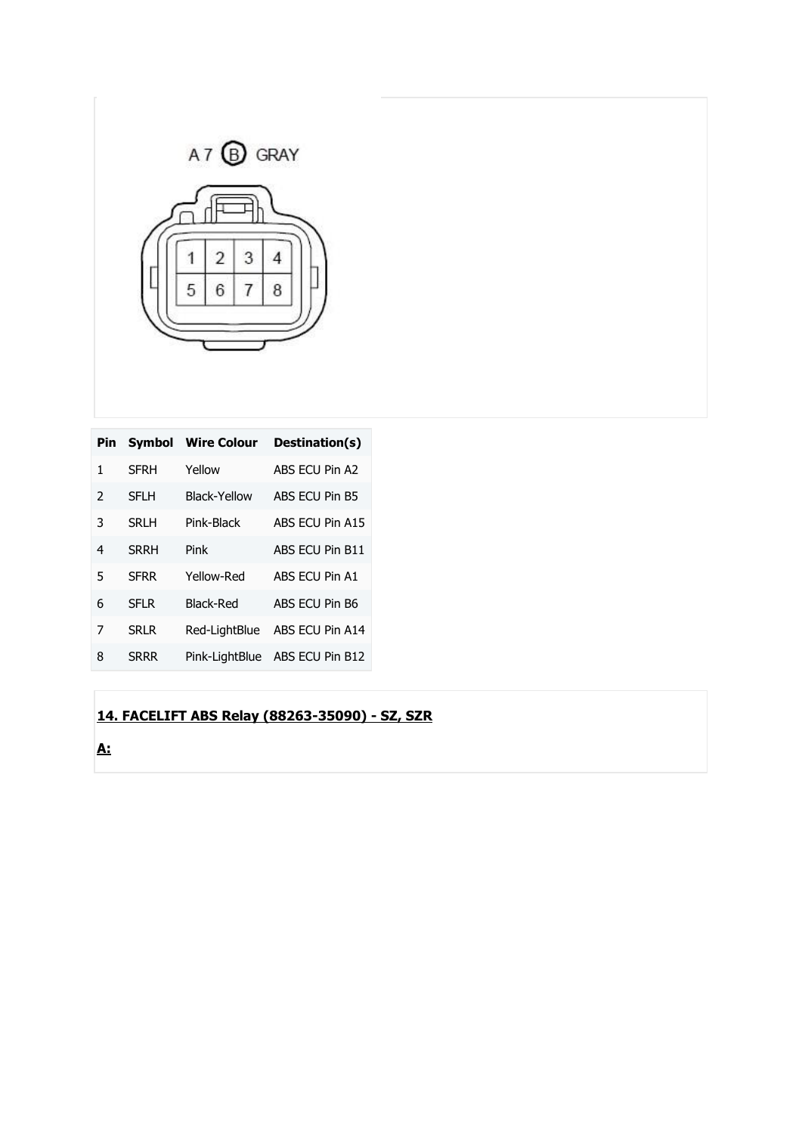

| <b>Pin</b>    | <b>Symbol</b> | <b>Wire Colour</b> | Destination(s)  |
|---------------|---------------|--------------------|-----------------|
| 1             | <b>SFRH</b>   | Yellow             | ABS FCU Pin A2  |
| $\mathcal{P}$ | <b>SFLH</b>   | Black-Yellow       | ABS ECU Pin B5  |
| 3             | SRI H         | Pink-Black         | ABS ECU Pin A15 |
| 4             | <b>SRRH</b>   | Pink               | ABS ECU Pin B11 |
| 5             | <b>SFRR</b>   | Yellow-Red         | ABS FCU Pin A1  |
| 6             | SFI R         | <b>Black-Red</b>   | ABS ECU Pin B6  |
| 7             | <b>SRLR</b>   | Red-LiahtBlue      | ABS ECU Pin A14 |
| 8             | SRRR          | Pink-LightBlue     | ABS ECU Pin B12 |

## **14. FACELIFT ABS Relay (88263-35090) - SZ, SZR**

**A:**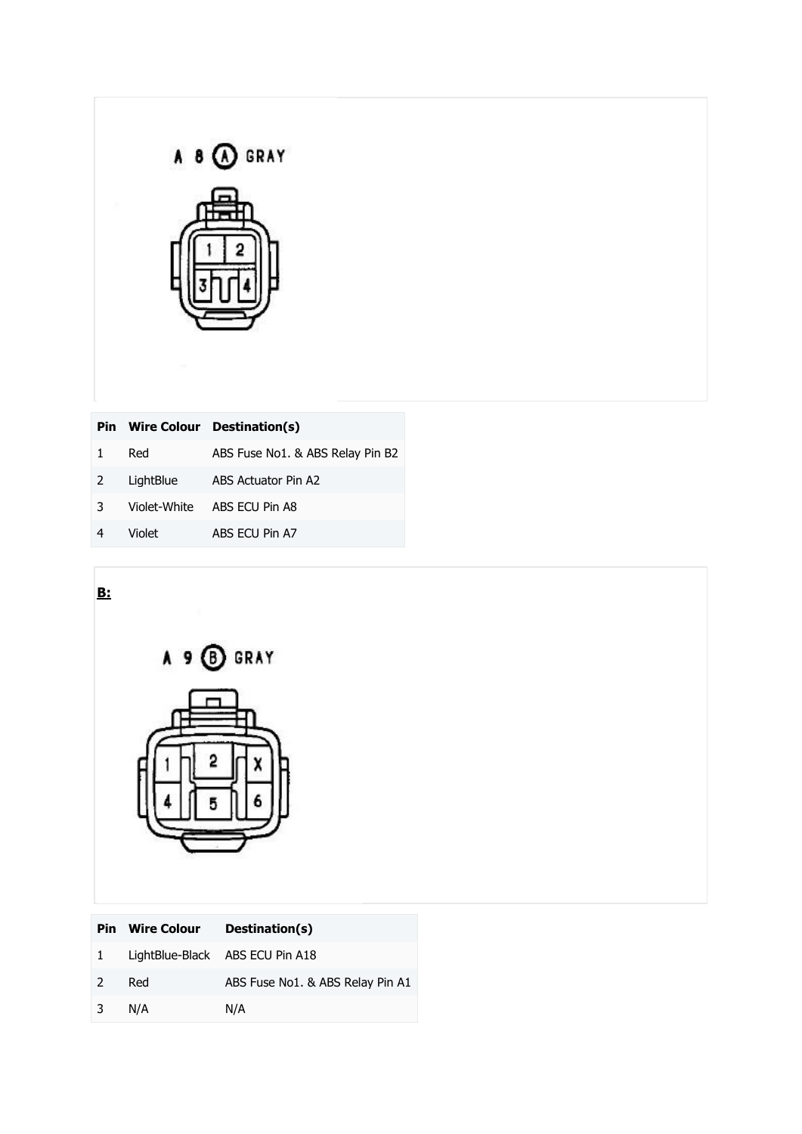| GRAY |
|------|
|      |
|      |
|      |
|      |

| Pin.         |           | Wire Colour Destination(s)       |
|--------------|-----------|----------------------------------|
| $\mathbf{1}$ | Red       | ABS Fuse No1. & ABS Relay Pin B2 |
| 2            | LightBlue | ABS Actuator Pin A2              |
| 3            |           | Violet-White ABS ECU Pin A8      |
|              | Violet    | ABS ECU Pin A7                   |
|              |           |                                  |

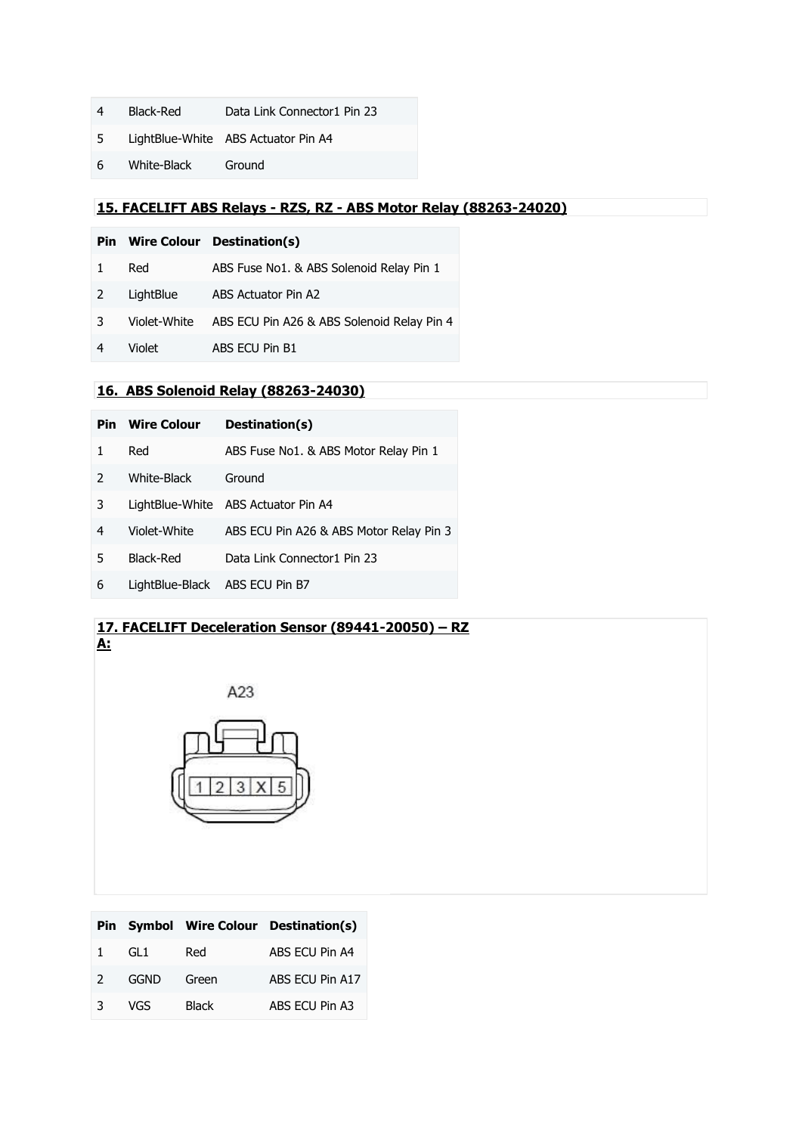- Black-Red Data Link Connector1 Pin 23
- LightBlue-White ABS Actuator Pin A4
- White-Black Ground

## **15. FACELIFT ABS Relays - RZS, RZ - ABS Motor Relay (88263-24020)**

|              |           | Pin Wire Colour Destination(s)                          |
|--------------|-----------|---------------------------------------------------------|
| $\mathbf{1}$ | Red       | ABS Fuse No1. & ABS Solenoid Relay Pin 1                |
| <sup>2</sup> | LightBlue | ABS Actuator Pin A2                                     |
| 3            |           | Violet-White ABS ECU Pin A26 & ABS Solenoid Relay Pin 4 |
|              |           |                                                         |

Violet ABS ECU Pin B1

## **16. ABS Solenoid Relay (88263-24030)**

|   | <b>Pin</b> Wire Colour | Destination(s)                          |  |
|---|------------------------|-----------------------------------------|--|
| 1 | Red                    | ABS Fuse No1. & ABS Motor Relay Pin 1   |  |
| 2 | White-Black            | Ground                                  |  |
| 3 |                        | LightBlue-White ABS Actuator Pin A4     |  |
| 4 | Violet-White           | ABS ECU Pin A26 & ABS Motor Relay Pin 3 |  |
| 5 | Black-Red              | Data Link Connector1 Pin 23             |  |
| 6 |                        | LightBlue-Black ABS ECU Pin B7          |  |

## **17. FACELIFT Deceleration Sensor (89441-20050) – RZ A:**



|               |             |              | Pin Symbol Wire Colour Destination(s) |
|---------------|-------------|--------------|---------------------------------------|
| $\mathbf{1}$  | GL 1        | Red          | ABS ECU Pin A4                        |
| $\mathcal{L}$ | <b>GGND</b> | Green        | ABS ECU Pin A17                       |
| 3             | VGS         | <b>Black</b> | ABS ECU Pin A3                        |